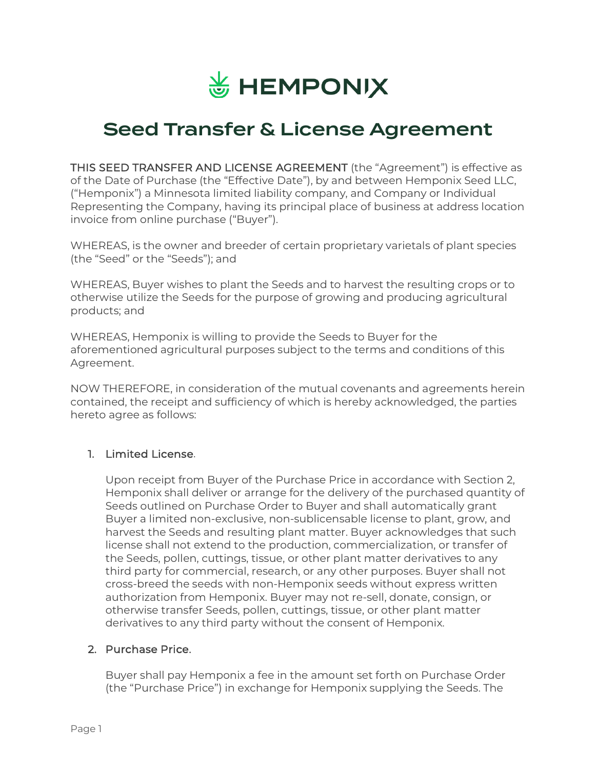

# Seed Transfer & License Agreement

THIS SEED TRANSFER AND LICENSE AGREEMENT (the "Agreement") is effective as of the Date of Purchase (the "Effective Date"), by and between Hemponix Seed LLC, ("Hemponix") a Minnesota limited liability company, and Company or Individual Representing the Company, having its principal place of business at address location invoice from online purchase ("Buyer").

WHEREAS, is the owner and breeder of certain proprietary varietals of plant species (the "Seed" or the "Seeds"); and

WHEREAS, Buyer wishes to plant the Seeds and to harvest the resulting crops or to otherwise utilize the Seeds for the purpose of growing and producing agricultural products; and

WHEREAS, Hemponix is willing to provide the Seeds to Buyer for the aforementioned agricultural purposes subject to the terms and conditions of this Agreement.

NOW THEREFORE, in consideration of the mutual covenants and agreements herein contained, the receipt and sufficiency of which is hereby acknowledged, the parties hereto agree as follows:

## 1. Limited License.

Upon receipt from Buyer of the Purchase Price in accordance with Section 2, Hemponix shall deliver or arrange for the delivery of the purchased quantity of Seeds outlined on Purchase Order to Buyer and shall automatically grant Buyer a limited non-exclusive, non-sublicensable license to plant, grow, and harvest the Seeds and resulting plant matter. Buyer acknowledges that such license shall not extend to the production, commercialization, or transfer of the Seeds, pollen, cuttings, tissue, or other plant matter derivatives to any third party for commercial, research, or any other purposes. Buyer shall not cross-breed the seeds with non-Hemponix seeds without express written authorization from Hemponix. Buyer may not re-sell, donate, consign, or otherwise transfer Seeds, pollen, cuttings, tissue, or other plant matter derivatives to any third party without the consent of Hemponix.

#### 2. Purchase Price.

Buyer shall pay Hemponix a fee in the amount set forth on Purchase Order (the "Purchase Price") in exchange for Hemponix supplying the Seeds. The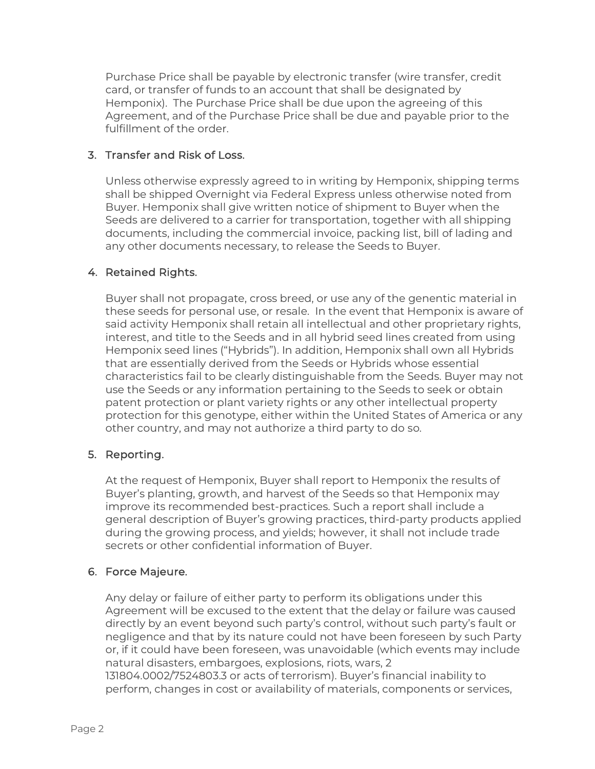Purchase Price shall be payable by electronic transfer (wire transfer, credit card, or transfer of funds to an account that shall be designated by Hemponix). The Purchase Price shall be due upon the agreeing of this Agreement, and of the Purchase Price shall be due and payable prior to the fulfillment of the order.

# 3. Transfer and Risk of Loss.

Unless otherwise expressly agreed to in writing by Hemponix, shipping terms shall be shipped Overnight via Federal Express unless otherwise noted from Buyer. Hemponix shall give written notice of shipment to Buyer when the Seeds are delivered to a carrier for transportation, together with all shipping documents, including the commercial invoice, packing list, bill of lading and any other documents necessary, to release the Seeds to Buyer.

# 4. Retained Rights.

Buyer shall not propagate, cross breed, or use any of the genentic material in these seeds for personal use, or resale. In the event that Hemponix is aware of said activity Hemponix shall retain all intellectual and other proprietary rights, interest, and title to the Seeds and in all hybrid seed lines created from using Hemponix seed lines ("Hybrids"). In addition, Hemponix shall own all Hybrids that are essentially derived from the Seeds or Hybrids whose essential characteristics fail to be clearly distinguishable from the Seeds. Buyer may not use the Seeds or any information pertaining to the Seeds to seek or obtain patent protection or plant variety rights or any other intellectual property protection for this genotype, either within the United States of America or any other country, and may not authorize a third party to do so.

## 5. Reporting.

At the request of Hemponix, Buyer shall report to Hemponix the results of Buyer's planting, growth, and harvest of the Seeds so that Hemponix may improve its recommended best-practices. Such a report shall include a general description of Buyer's growing practices, third-party products applied during the growing process, and yields; however, it shall not include trade secrets or other confidential information of Buyer.

# 6. Force Majeure.

Any delay or failure of either party to perform its obligations under this Agreement will be excused to the extent that the delay or failure was caused directly by an event beyond such party's control, without such party's fault or negligence and that by its nature could not have been foreseen by such Party or, if it could have been foreseen, was unavoidable (which events may include natural disasters, embargoes, explosions, riots, wars, 2 131804.0002/7524803.3 or acts of terrorism). Buyer's financial inability to

perform, changes in cost or availability of materials, components or services,